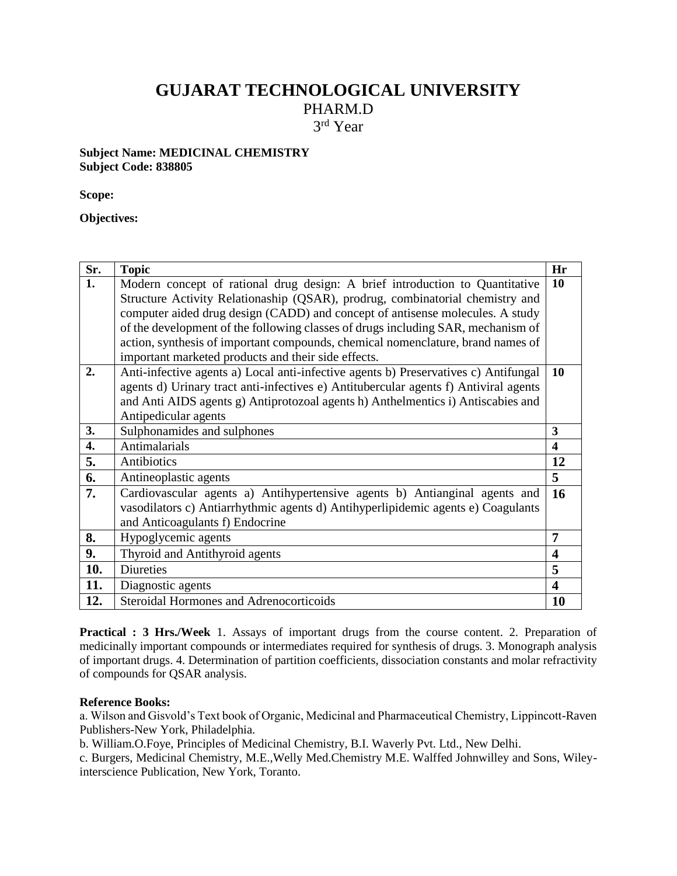## **GUJARAT TECHNOLOGICAL UNIVERSITY**

PHARM.D

3 rd Year

## **Subject Name: MEDICINAL CHEMISTRY Subject Code: 838805**

**Scope:** 

**Objectives:**

| Sr. | <b>Topic</b>                                                                         | Hr                      |
|-----|--------------------------------------------------------------------------------------|-------------------------|
| 1.  | Modern concept of rational drug design: A brief introduction to Quantitative         | 10                      |
|     | Structure Activity Relationaship (QSAR), prodrug, combinatorial chemistry and        |                         |
|     | computer aided drug design (CADD) and concept of antisense molecules. A study        |                         |
|     | of the development of the following classes of drugs including SAR, mechanism of     |                         |
|     | action, synthesis of important compounds, chemical nomenclature, brand names of      |                         |
|     | important marketed products and their side effects.                                  |                         |
| 2.  | Anti-infective agents a) Local anti-infective agents b) Preservatives c) Antifungal  | 10                      |
|     | agents d) Urinary tract anti-infectives e) Antitubercular agents f) Antiviral agents |                         |
|     | and Anti AIDS agents g) Antiprotozoal agents h) Anthelmentics i) Antiscabies and     |                         |
|     | Antipedicular agents                                                                 |                         |
| 3.  | Sulphonamides and sulphones                                                          | 3                       |
| 4.  | Antimalarials                                                                        | $\boldsymbol{4}$        |
| 5.  | Antibiotics                                                                          | 12                      |
| 6.  | Antineoplastic agents                                                                | $\overline{5}$          |
| 7.  | Cardiovascular agents a) Antihypertensive agents b) Antianginal agents and           | 16                      |
|     | vasodilators c) Antiarrhythmic agents d) Antihyperlipidemic agents e) Coagulants     |                         |
|     | and Anticoagulants f) Endocrine                                                      |                         |
| 8.  | Hypoglycemic agents                                                                  | 7                       |
| 9.  | Thyroid and Antithyroid agents                                                       | $\overline{\mathbf{4}}$ |
| 10. | <b>Diureties</b>                                                                     | 5                       |
| 11. | Diagnostic agents                                                                    | $\boldsymbol{4}$        |
| 12. | <b>Steroidal Hormones and Adrenocorticoids</b>                                       | <b>10</b>               |

**Practical : 3 Hrs./Week** 1. Assays of important drugs from the course content. 2. Preparation of medicinally important compounds or intermediates required for synthesis of drugs. 3. Monograph analysis of important drugs. 4. Determination of partition coefficients, dissociation constants and molar refractivity of compounds for QSAR analysis.

## **Reference Books:**

a. Wilson and Gisvold's Text book of Organic, Medicinal and Pharmaceutical Chemistry, Lippincott-Raven Publishers-New York, Philadelphia.

b. William.O.Foye, Principles of Medicinal Chemistry, B.I. Waverly Pvt. Ltd., New Delhi.

c. Burgers, Medicinal Chemistry, M.E.,Welly Med.Chemistry M.E. Walffed Johnwilley and Sons, Wileyinterscience Publication, New York, Toranto.